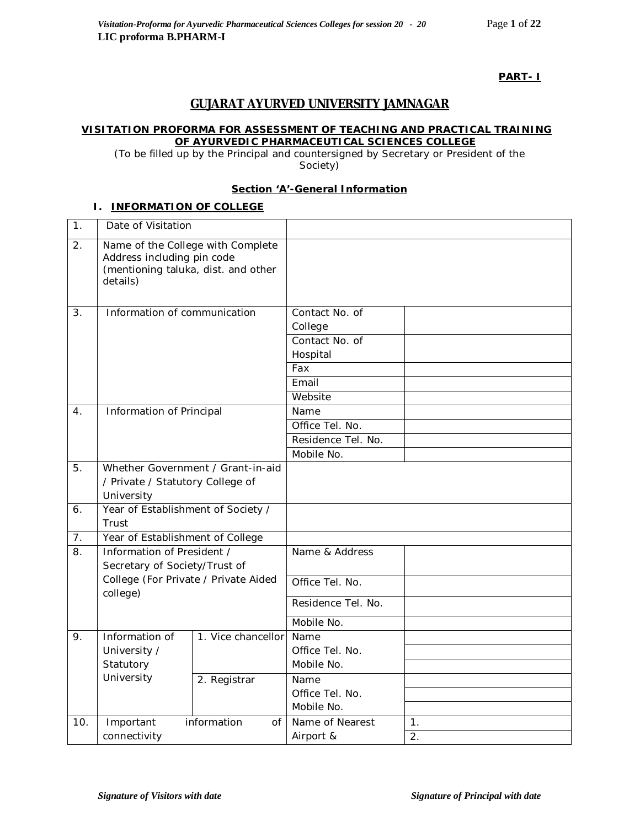# **PART- I**

# **GUJARAT AYURVED UNIVERSITY JAMNAGAR**

### **VISITATION PROFORMA FOR ASSESSMENT OF TEACHING AND PRACTICAL TRAINING OF AYURVEDIC PHARMACEUTICAL SCIENCES COLLEGE**

*(*To be filled up by the Principal and countersigned by Secretary or President of the Society)

### **Section 'A'-General Information**

### **I. INFORMATION OF COLLEGE**

| 1.             | Date of Visitation                                                                                                 |                                   |                                                                                    |                      |
|----------------|--------------------------------------------------------------------------------------------------------------------|-----------------------------------|------------------------------------------------------------------------------------|----------------------|
| 2.             | Name of the College with Complete<br>Address including pin code<br>(mentioning taluka, dist. and other<br>details) |                                   |                                                                                    |                      |
| 3.             | Information of communication                                                                                       |                                   | Contact No. of<br>College<br>Contact No. of<br>Hospital<br>Fax<br>Email<br>Website |                      |
| 4.             | Information of Principal                                                                                           |                                   | Name                                                                               |                      |
|                |                                                                                                                    |                                   | Office Tel. No.                                                                    |                      |
|                |                                                                                                                    |                                   | Residence Tel. No.                                                                 |                      |
|                |                                                                                                                    |                                   | Mobile No.                                                                         |                      |
| 5.             | / Private / Statutory College of<br>University                                                                     | Whether Government / Grant-in-aid |                                                                                    |                      |
| 6.             | Year of Establishment of Society /<br>Trust                                                                        |                                   |                                                                                    |                      |
| 7 <sub>1</sub> | Year of Establishment of College                                                                                   |                                   |                                                                                    |                      |
| 8.             | Information of President /<br>Secretary of Society/Trust of                                                        |                                   | Name & Address                                                                     |                      |
|                | College (For Private / Private Aided                                                                               |                                   | Office Tel. No.                                                                    |                      |
|                |                                                                                                                    | college)                          |                                                                                    |                      |
|                |                                                                                                                    |                                   | Mobile No.                                                                         |                      |
| 9.             | Information of<br>University /<br>Statutory                                                                        | 1. Vice chancellor                | Name<br>Office Tel. No.<br>Mobile No.                                              |                      |
|                | University                                                                                                         | 2. Registrar                      | Name<br>Office Tel. No.<br>Mobile No.                                              |                      |
| 10.            | Important<br>connectivity                                                                                          | information<br>of                 | Name of Nearest<br>Airport &                                                       | 1 <sub>1</sub><br>2. |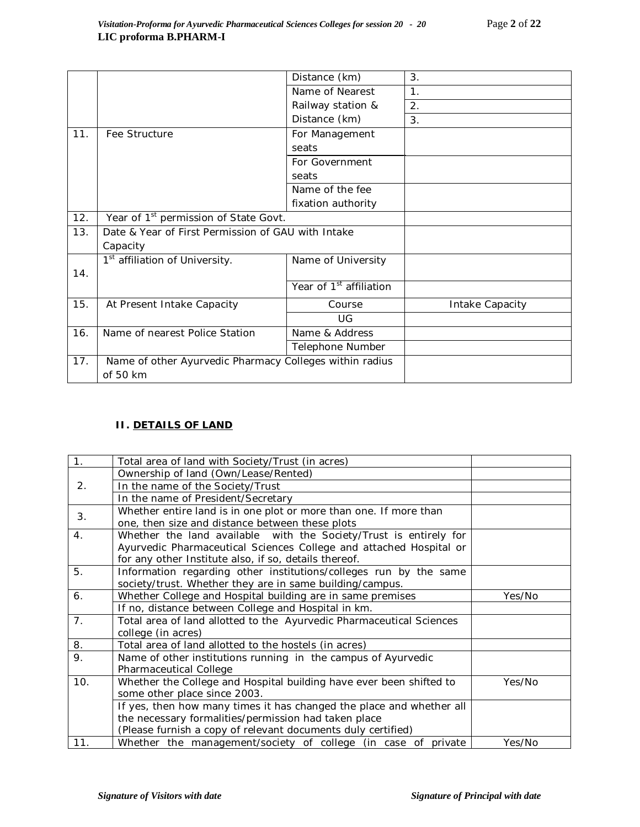|     |                                                         | Distance (km)                       | 3.              |
|-----|---------------------------------------------------------|-------------------------------------|-----------------|
|     |                                                         | Name of Nearest                     | 1.              |
|     |                                                         | Railway station &                   | 2.              |
|     |                                                         | Distance (km)                       | 3.              |
| 11. | Fee Structure                                           | For Management                      |                 |
|     |                                                         | seats                               |                 |
|     |                                                         | For Government                      |                 |
|     |                                                         | seats                               |                 |
|     |                                                         | Name of the fee                     |                 |
|     |                                                         | fixation authority                  |                 |
| 12. | Year of 1 <sup>st</sup> permission of State Govt.       |                                     |                 |
| 13. | Date & Year of First Permission of GAU with Intake      |                                     |                 |
|     | Capacity                                                |                                     |                 |
|     | 1 <sup>st</sup> affiliation of University.              | Name of University                  |                 |
| 14. |                                                         |                                     |                 |
|     |                                                         | Year of 1 <sup>st</sup> affiliation |                 |
| 15. | At Present Intake Capacity                              | Course                              | Intake Capacity |
|     |                                                         | UG                                  |                 |
| 16. | Name of nearest Police Station                          | Name & Address                      |                 |
|     |                                                         | Telephone Number                    |                 |
| 17. | Name of other Ayurvedic Pharmacy Colleges within radius |                                     |                 |
|     | of 50 km                                                |                                     |                 |

# **II. DETAILS OF LAND**

| 1.             | Total area of land with Society/Trust (in acres)                     |        |
|----------------|----------------------------------------------------------------------|--------|
|                | Ownership of land (Own/Lease/Rented)                                 |        |
| 2.             | In the name of the Society/Trust                                     |        |
|                | In the name of President/Secretary                                   |        |
| 3.             | Whether entire land is in one plot or more than one. If more than    |        |
|                | one, then size and distance between these plots                      |        |
| 4 <sub>1</sub> | Whether the land available with the Society/Trust is entirely for    |        |
|                | Ayurvedic Pharmaceutical Sciences College and attached Hospital or   |        |
|                | for any other Institute also, if so, details thereof.                |        |
| 5.             | Information regarding other institutions/colleges run by the same    |        |
|                | society/trust. Whether they are in same building/campus.             |        |
| 6.             | Whether College and Hospital building are in same premises           | Yes/No |
|                | If no, distance between College and Hospital in km.                  |        |
| 7 <sub>1</sub> | Total area of land allotted to the Ayurvedic Pharmaceutical Sciences |        |
|                | college (in acres)                                                   |        |
| 8.             | Total area of land allotted to the hostels (in acres)                |        |
| 9.             | Name of other institutions running in the campus of Ayurvedic        |        |
|                | Pharmaceutical College                                               |        |
| 10.            | Whether the College and Hospital building have ever been shifted to  | Yes/No |
|                | some other place since 2003.                                         |        |
|                | If yes, then how many times it has changed the place and whether all |        |
|                | the necessary formalities/permission had taken place                 |        |
|                | (Please furnish a copy of relevant documents duly certified)         |        |
| 11.            | Whether the management/society of college (in case of private        | Yes/No |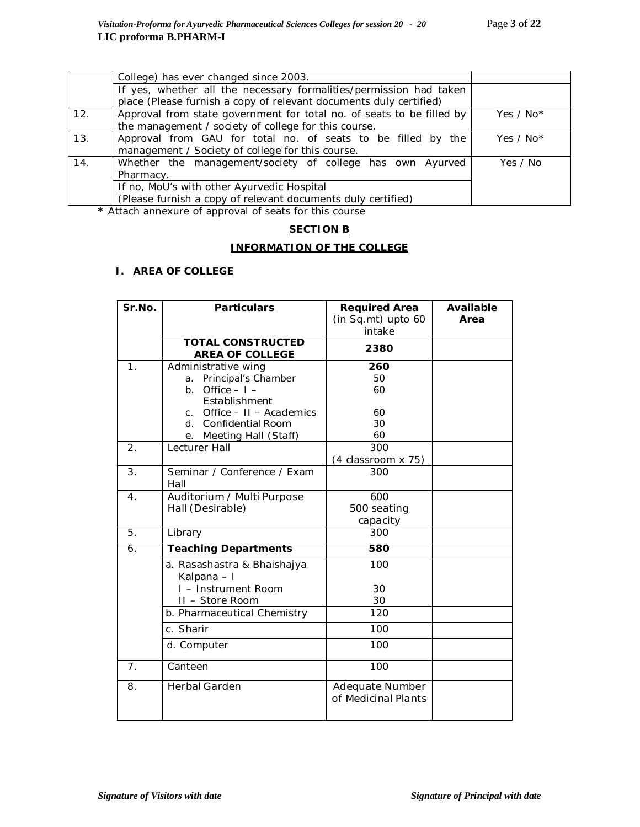|     | College) has ever changed since 2003.                                 |             |
|-----|-----------------------------------------------------------------------|-------------|
|     | If yes, whether all the necessary formalities/permission had taken    |             |
|     | place (Please furnish a copy of relevant documents duly certified)    |             |
| 12. | Approval from state government for total no. of seats to be filled by | Yes / No*   |
|     | the management / society of college for this course.                  |             |
| 13. | Approval from GAU for total no. of seats to be filled by the          | Yes / $No*$ |
|     | management / Society of college for this course.                      |             |
| 14. | Whether the management/society of college has own Ayurved             | Yes / No    |
|     | Pharmacy.                                                             |             |
|     | If no, MoU's with other Ayurvedic Hospital                            |             |
|     | (Please furnish a copy of relevant documents duly certified)          |             |

**\*** Attach annexure of approval of seats for this course

# **SECTION B**

## **INFORMATION OF THE COLLEGE**

# **I. AREA OF COLLEGE**

| Sr.No.         | <b>Particulars</b>                                 | <b>Required Area</b><br>(in Sq.mt) upto 60 | <b>Available</b><br>Area |
|----------------|----------------------------------------------------|--------------------------------------------|--------------------------|
|                |                                                    | intake                                     |                          |
|                | <b>TOTAL CONSTRUCTED</b><br><b>AREA OF COLLEGE</b> | 2380                                       |                          |
| 1 <sub>1</sub> | Administrative wing                                | 260                                        |                          |
|                | Principal's Chamber<br>a.                          | 50                                         |                          |
|                | Office $-1$ –<br>b <sub>1</sub>                    | 60                                         |                          |
|                | Establishment                                      |                                            |                          |
|                | c. Office $-11 -$ Academics                        | 60                                         |                          |
|                | d. Confidential Room                               | 30                                         |                          |
|                | Meeting Hall (Staff)<br>е.                         | 60                                         |                          |
| 2.             | Lecturer Hall                                      | 300                                        |                          |
|                |                                                    | $(4$ classroom $\times$ 75)                |                          |
| 3.             | Seminar / Conference / Exam<br>Hall                | 300                                        |                          |
| $\mathbf 4$ .  | Auditorium / Multi Purpose                         | 600                                        |                          |
|                | Hall (Desirable)                                   | 500 seating                                |                          |
|                |                                                    | capacity                                   |                          |
| 5.             | Library                                            | 300                                        |                          |
| 6.             | <b>Teaching Departments</b>                        | 580                                        |                          |
|                | a. Rasashastra & Bhaishajya<br>Kalpana - I         | 100                                        |                          |
|                | I - Instrument Room                                | 30                                         |                          |
|                | II - Store Room                                    | 30                                         |                          |
|                | b. Pharmaceutical Chemistry                        | 120                                        |                          |
|                | c. Sharir                                          | 100                                        |                          |
|                | d. Computer                                        | 100                                        |                          |
| 7.             | Canteen                                            | 100                                        |                          |
| 8.             | <b>Herbal Garden</b>                               | Adequate Number<br>of Medicinal Plants     |                          |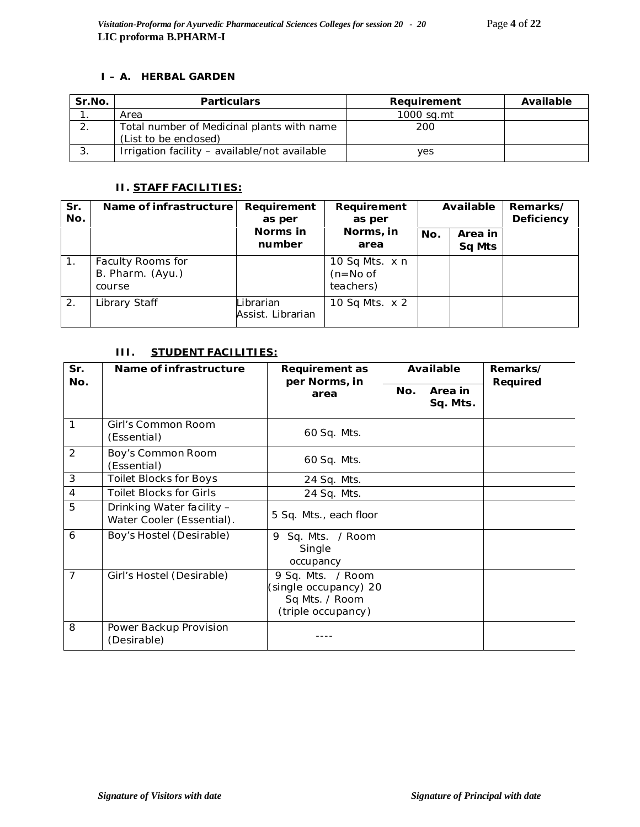### **I – A. HERBAL GARDEN**

| Sr.No. | <b>Particulars</b>                            | Requirement | Available |
|--------|-----------------------------------------------|-------------|-----------|
|        | Area                                          | 1000 sq.mt  |           |
|        | Total number of Medicinal plants with name    | 200         |           |
|        | (List to be enclosed)                         |             |           |
| 3.     | Irrigation facility - available/not available | ves         |           |

# **II. STAFF FACILITIES:**

| Sr.<br>No.     | Name of infrastructure                          | Requirement<br>as per          | Requirement<br>as per                     |     | Available         | Remarks/<br>Deficiency |
|----------------|-------------------------------------------------|--------------------------------|-------------------------------------------|-----|-------------------|------------------------|
|                |                                                 | Norms in<br>number             | Norms, in<br>area                         | No. | Area in<br>Sq Mts |                        |
| $\mathbf{1}$ . | Faculty Rooms for<br>B. Pharm. (Ayu.)<br>course |                                | 10 Sq Mts. x n<br>$(n=No of$<br>teachers) |     |                   |                        |
| 2.             | Library Staff                                   | Librarian<br>Assist. Librarian | 10 Sq Mts. x 2                            |     |                   |                        |

# **III. STUDENT FACILITIES:**

| Sr.<br>No.     | Name of infrastructure                                 | Requirement as                                                                     |     | Available           | Remarks/ |
|----------------|--------------------------------------------------------|------------------------------------------------------------------------------------|-----|---------------------|----------|
|                |                                                        | per Norms, in<br>area                                                              | No. | Area in<br>Sq. Mts. | Required |
| 1              | Girl's Common Room<br>(Essential)                      | 60 Sq. Mts.                                                                        |     |                     |          |
| 2              | Boy's Common Room<br>(Essential)                       | 60 Sq. Mts.                                                                        |     |                     |          |
| 3              | <b>Toilet Blocks for Boys</b>                          | 24 Sq. Mts.                                                                        |     |                     |          |
| $\overline{4}$ | <b>Toilet Blocks for Girls</b>                         | 24 Sq. Mts.                                                                        |     |                     |          |
| 5              | Drinking Water facility -<br>Water Cooler (Essential). | 5 Sq. Mts., each floor                                                             |     |                     |          |
| 6              | Boy's Hostel (Desirable)                               | Sq. Mts. / Room<br>9<br>Single<br>occupancy                                        |     |                     |          |
| $\overline{7}$ | Girl's Hostel (Desirable)                              | 9 Sq. Mts. / Room<br>(single occupancy) 20<br>Sq Mts. / Room<br>(triple occupancy) |     |                     |          |
| 8              | Power Backup Provision<br>(Desirable)                  |                                                                                    |     |                     |          |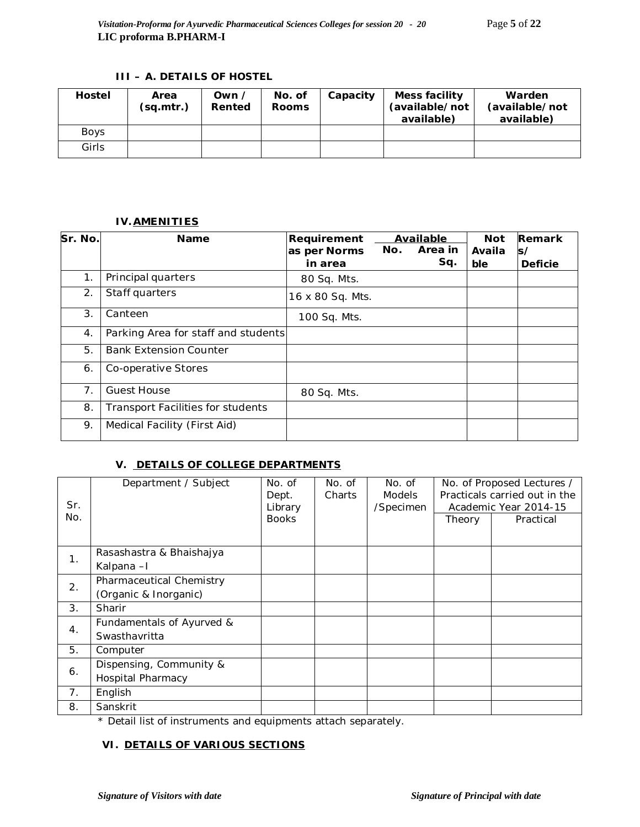## **III – A. DETAILS OF HOSTEL**

| <b>Hostel</b> | Area<br>(sq.mtr.) | Own /<br>Rented | No. of<br><b>Rooms</b> | Capacity | Mess facility<br>(available/not<br>available) | Warden<br>(available/not<br>available) |
|---------------|-------------------|-----------------|------------------------|----------|-----------------------------------------------|----------------------------------------|
| <b>Boys</b>   |                   |                 |                        |          |                                               |                                        |
| Girls         |                   |                 |                        |          |                                               |                                        |

### **IV.AMENITIES**

| Sr. No.          | <b>Name</b>                              | Requirement      |     | Available | <b>Not</b> | Remark         |
|------------------|------------------------------------------|------------------|-----|-----------|------------|----------------|
|                  |                                          | as per Norms     | No. | Area in   | Availa     | s/             |
|                  |                                          | in area          |     | Sq.       | ble        | <b>Deficie</b> |
| 1.               | Principal quarters                       | 80 Sq. Mts.      |     |           |            |                |
| 2.               | Staff quarters                           | 16 x 80 Sq. Mts. |     |           |            |                |
| 3.               | Canteen                                  | 100 Sq. Mts.     |     |           |            |                |
| $\overline{4}$ . | Parking Area for staff and students      |                  |     |           |            |                |
| 5.               | <b>Bank Extension Counter</b>            |                  |     |           |            |                |
| 6.               | Co-operative Stores                      |                  |     |           |            |                |
| 7.               | <b>Guest House</b>                       | 80 Sq. Mts.      |     |           |            |                |
| 8.               | <b>Transport Facilities for students</b> |                  |     |           |            |                |
| 9.               | Medical Facility (First Aid)             |                  |     |           |            |                |

# **V. DETAILS OF COLLEGE DEPARTMENTS**

| Sr.<br>No.     | Department / Subject                                | No. of<br>Dept.<br>Library<br><b>Books</b> | No. of<br>Charts | No. of<br><b>Models</b><br>/Specimen | Theory | No. of Proposed Lectures /<br>Practicals carried out in the<br>Academic Year 2014-15<br>Practical |
|----------------|-----------------------------------------------------|--------------------------------------------|------------------|--------------------------------------|--------|---------------------------------------------------------------------------------------------------|
| 1 <sub>1</sub> | Rasashastra & Bhaishajya<br>Kalpana-I               |                                            |                  |                                      |        |                                                                                                   |
| 2.             | Pharmaceutical Chemistry<br>(Organic & Inorganic)   |                                            |                  |                                      |        |                                                                                                   |
| 3.             | Sharir                                              |                                            |                  |                                      |        |                                                                                                   |
| 4.             | Fundamentals of Ayurved &<br>Swasthavritta          |                                            |                  |                                      |        |                                                                                                   |
| 5.             | Computer                                            |                                            |                  |                                      |        |                                                                                                   |
| 6.             | Dispensing, Community &<br><b>Hospital Pharmacy</b> |                                            |                  |                                      |        |                                                                                                   |
| 7.             | English                                             |                                            |                  |                                      |        |                                                                                                   |
| 8.             | Sanskrit                                            |                                            |                  |                                      |        |                                                                                                   |

\* Detail list of instruments and equipments attach separately.

## **VI. DETAILS OF VARIOUS SECTIONS**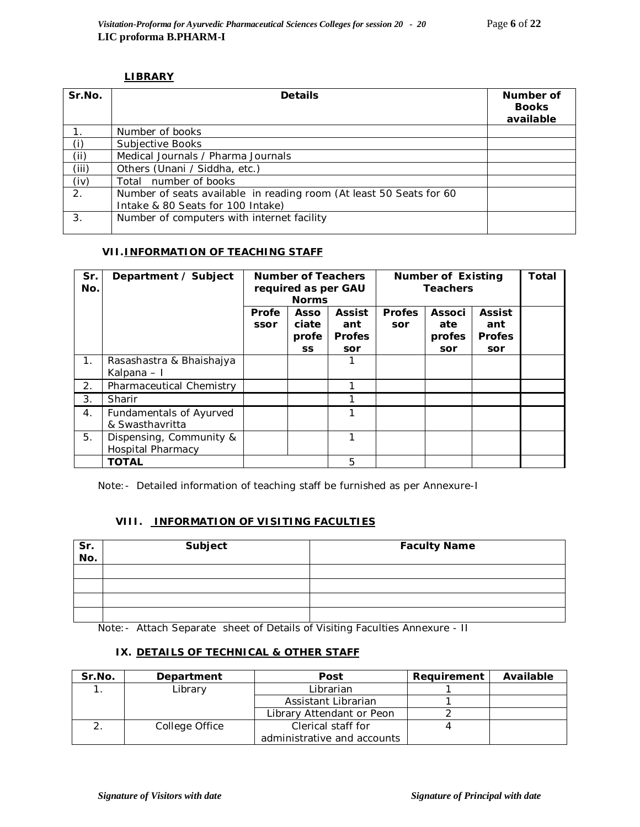### **LIBRARY**

| Sr.No. | <b>Details</b>                                                                                           | Number of<br><b>Books</b><br>available |
|--------|----------------------------------------------------------------------------------------------------------|----------------------------------------|
|        | Number of books                                                                                          |                                        |
| (i)    | Subjective Books                                                                                         |                                        |
| (i)    | Medical Journals / Pharma Journals                                                                       |                                        |
| (iii)  | Others (Unani / Siddha, etc.)                                                                            |                                        |
| (iv)   | Total number of books                                                                                    |                                        |
| 2.     | Number of seats available in reading room (At least 50 Seats for 60<br>Intake & 80 Seats for 100 Intake) |                                        |
| 3.     | Number of computers with internet facility                                                               |                                        |

### **VII.INFORMATION OF TEACHING STAFF**

| Sr.<br>No.       | Department / Subject                                |               | <b>Number of Teachers</b><br>required as per GAU<br><b>Norms</b> |                                              | <b>Number of Existing</b><br><b>Teachers</b> | Total                                 |                                              |  |
|------------------|-----------------------------------------------------|---------------|------------------------------------------------------------------|----------------------------------------------|----------------------------------------------|---------------------------------------|----------------------------------------------|--|
|                  |                                                     | Profe<br>ssor | Asso<br>ciate<br>profe<br><b>SS</b>                              | <b>Assist</b><br>ant<br><b>Profes</b><br>sor | <b>Profes</b><br>sor                         | <b>Associ</b><br>ate<br>profes<br>sor | <b>Assist</b><br>ant<br><b>Profes</b><br>sor |  |
| 1.               | Rasashastra & Bhaishajya<br>Kalpana – I             |               |                                                                  |                                              |                                              |                                       |                                              |  |
| $\overline{2}$ . | Pharmaceutical Chemistry                            |               |                                                                  |                                              |                                              |                                       |                                              |  |
| 3.               | Sharir                                              |               |                                                                  |                                              |                                              |                                       |                                              |  |
| $\overline{4}$ . | Fundamentals of Ayurved<br>& Swasthavritta          |               |                                                                  |                                              |                                              |                                       |                                              |  |
| 5.               | Dispensing, Community &<br><b>Hospital Pharmacy</b> |               |                                                                  |                                              |                                              |                                       |                                              |  |
|                  | <b>TOTAL</b>                                        |               |                                                                  | 5                                            |                                              |                                       |                                              |  |

Note:- Detailed information of teaching staff be furnished as per Annexure-I

# **VIII. INFORMATION OF VISITING FACULTIES**

| Sr.<br>No. | Subject | <b>Faculty Name</b> |
|------------|---------|---------------------|
|            |         |                     |
|            |         |                     |
|            |         |                     |
|            |         |                     |

Note:- Attach Separate sheet of Details of Visiting Faculties Annexure - II

## **IX. DETAILS OF TECHNICAL & OTHER STAFF**

| Sr.No. | Department     | Post                        | Requirement | Available |
|--------|----------------|-----------------------------|-------------|-----------|
|        | Library        | Librarian                   |             |           |
|        |                | Assistant Librarian         |             |           |
|        |                | Library Attendant or Peon   |             |           |
|        | College Office | Clerical staff for          |             |           |
|        |                | administrative and accounts |             |           |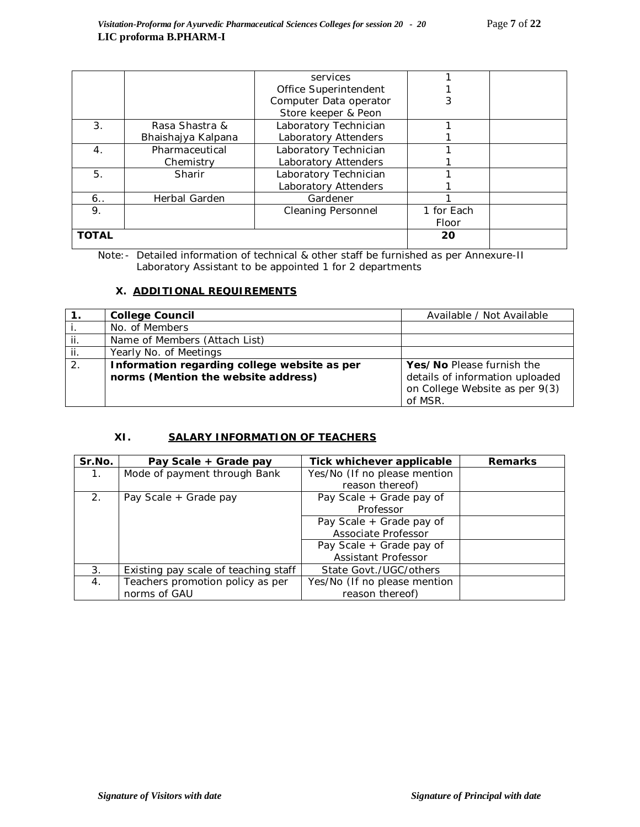|              |                    | services                  |            |  |
|--------------|--------------------|---------------------------|------------|--|
|              |                    | Office Superintendent     |            |  |
|              |                    | Computer Data operator    |            |  |
|              |                    | Store keeper & Peon       |            |  |
| 3.           | Rasa Shastra &     | Laboratory Technician     |            |  |
|              | Bhaishajya Kalpana | Laboratory Attenders      |            |  |
| 4.           | Pharmaceutical     | Laboratory Technician     |            |  |
|              | Chemistry          | Laboratory Attenders      |            |  |
| 5.           | Sharir             | Laboratory Technician     |            |  |
|              |                    | Laboratory Attenders      |            |  |
| 6.           | Herbal Garden      | Gardener                  |            |  |
| 9.           |                    | <b>Cleaning Personnel</b> | 1 for Each |  |
|              |                    |                           | Floor      |  |
| <b>TOTAL</b> |                    |                           | 20         |  |

Note:- Detailed information of technical & other staff be furnished as per Annexure-II Laboratory Assistant to be appointed 1 for 2 departments

### **X. ADDITIONAL REQUIREMENTS**

|     | <b>College Council</b>                       | Available / Not Available       |
|-----|----------------------------------------------|---------------------------------|
|     | No. of Members                               |                                 |
| jj. | Name of Members (Attach List)                |                                 |
| ii. | Yearly No. of Meetings                       |                                 |
| 2.  | Information regarding college website as per | Yes/No Please furnish the       |
|     | norms (Mention the website address)          | details of information uploaded |
|     |                                              | on College Website as per 9(3)  |
|     |                                              | of MSR.                         |

# **XI. SALARY INFORMATION OF TEACHERS**

| Sr.No.           | Pay Scale + Grade pay                | Tick whichever applicable    | <b>Remarks</b> |
|------------------|--------------------------------------|------------------------------|----------------|
| $\overline{1}$ . | Mode of payment through Bank         | Yes/No (If no please mention |                |
|                  |                                      | reason thereof)              |                |
| 2 <sub>1</sub>   | Pay Scale + Grade pay                | Pay Scale + Grade pay of     |                |
|                  |                                      | Professor                    |                |
|                  |                                      | Pay Scale + Grade pay of     |                |
|                  |                                      | Associate Professor          |                |
|                  |                                      | Pay Scale + Grade pay of     |                |
|                  |                                      | Assistant Professor          |                |
| 3.               | Existing pay scale of teaching staff | State Govt./UGC/others       |                |
| 4.               | Teachers promotion policy as per     | Yes/No (If no please mention |                |
|                  | norms of GAU                         | reason thereof)              |                |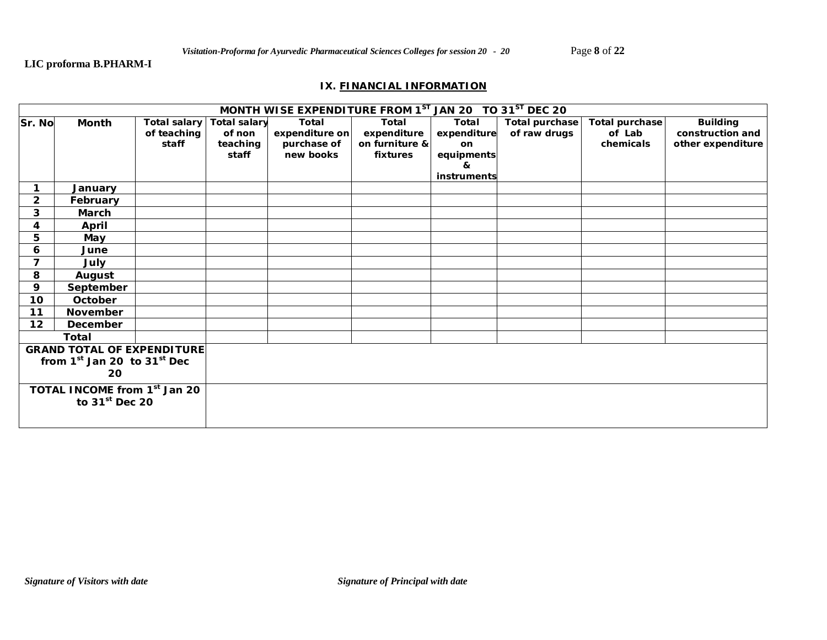# **LIC proforma B.PHARM-I**

### **IX. FINANCIAL INFORMATION**

| MONTH WISE EXPENDITURE FROM 1ST JAN 20 TO 31ST DEC 20 |                                          |              |                     |                |                |             |                       |                |                   |  |  |  |
|-------------------------------------------------------|------------------------------------------|--------------|---------------------|----------------|----------------|-------------|-----------------------|----------------|-------------------|--|--|--|
| Sr. No                                                | Month                                    | Total salary | <b>Total salary</b> | Total          | Total          | Total       | <b>Total purchase</b> | Total purchase | <b>Building</b>   |  |  |  |
|                                                       |                                          | of teaching  | of non              | expenditure on | expenditure    | expenditure | of raw drugs          | of Lab         | construction and  |  |  |  |
|                                                       |                                          | staff        | teaching            | purchase of    | on furniture & | on          |                       | chemicals      | other expenditure |  |  |  |
|                                                       |                                          |              | staff               | new books      | fixtures       | equipments  |                       |                |                   |  |  |  |
|                                                       |                                          |              |                     |                |                | &           |                       |                |                   |  |  |  |
|                                                       |                                          |              |                     |                |                | instruments |                       |                |                   |  |  |  |
|                                                       | January                                  |              |                     |                |                |             |                       |                |                   |  |  |  |
| $\overline{\mathbf{2}}$                               | February                                 |              |                     |                |                |             |                       |                |                   |  |  |  |
| 3                                                     | March                                    |              |                     |                |                |             |                       |                |                   |  |  |  |
| 4                                                     | April                                    |              |                     |                |                |             |                       |                |                   |  |  |  |
| 5                                                     | May                                      |              |                     |                |                |             |                       |                |                   |  |  |  |
| 6                                                     | June                                     |              |                     |                |                |             |                       |                |                   |  |  |  |
| 7                                                     | July                                     |              |                     |                |                |             |                       |                |                   |  |  |  |
| 8                                                     | August                                   |              |                     |                |                |             |                       |                |                   |  |  |  |
| 9                                                     | September                                |              |                     |                |                |             |                       |                |                   |  |  |  |
| 10                                                    | October                                  |              |                     |                |                |             |                       |                |                   |  |  |  |
| 11                                                    | November                                 |              |                     |                |                |             |                       |                |                   |  |  |  |
| $12 \,$                                               | December                                 |              |                     |                |                |             |                       |                |                   |  |  |  |
|                                                       | <b>Total</b>                             |              |                     |                |                |             |                       |                |                   |  |  |  |
|                                                       | <b>GRAND TOTAL OF EXPENDITURE</b>        |              |                     |                |                |             |                       |                |                   |  |  |  |
|                                                       | from $1st$ Jan 20 to $31st$ Dec          |              |                     |                |                |             |                       |                |                   |  |  |  |
|                                                       | 20                                       |              |                     |                |                |             |                       |                |                   |  |  |  |
|                                                       | TOTAL INCOME from 1 <sup>st</sup> Jan 20 |              |                     |                |                |             |                       |                |                   |  |  |  |
| to $31st$ Dec 20                                      |                                          |              |                     |                |                |             |                       |                |                   |  |  |  |
|                                                       |                                          |              |                     |                |                |             |                       |                |                   |  |  |  |
|                                                       |                                          |              |                     |                |                |             |                       |                |                   |  |  |  |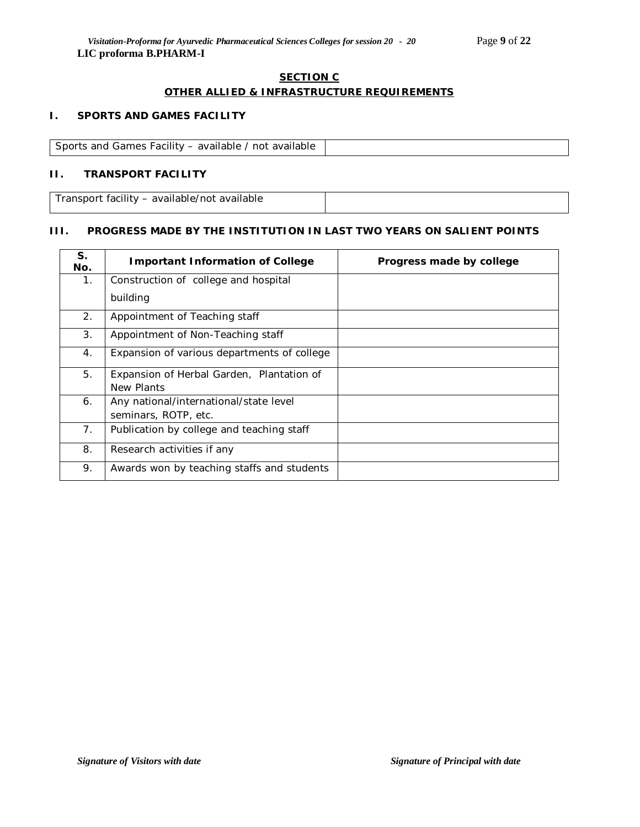#### **SECTION C**

# **OTHER ALLIED & INFRASTRUCTURE REQUIREMENTS**

### **I. SPORTS AND GAMES FACILITY**

Sports and Games Facility – available / not available

### **II. TRANSPORT FACILITY**

Transport facility – available/not available

# **III. PROGRESS MADE BY THE INSTITUTION IN LAST TWO YEARS ON SALIENT POINTS**

| S.<br>No.      | <b>Important Information of College</b>     | Progress made by college |
|----------------|---------------------------------------------|--------------------------|
| 1.             | Construction of college and hospital        |                          |
|                | building                                    |                          |
| 2.             | Appointment of Teaching staff               |                          |
| 3 <sub>1</sub> | Appointment of Non-Teaching staff           |                          |
| 4.             | Expansion of various departments of college |                          |
| 5.             | Expansion of Herbal Garden, Plantation of   |                          |
|                | New Plants                                  |                          |
| 6.             | Any national/international/state level      |                          |
|                | seminars, ROTP, etc.                        |                          |
| 7.             | Publication by college and teaching staff   |                          |
| 8.             | Research activities if any                  |                          |
| 9.             | Awards won by teaching staffs and students  |                          |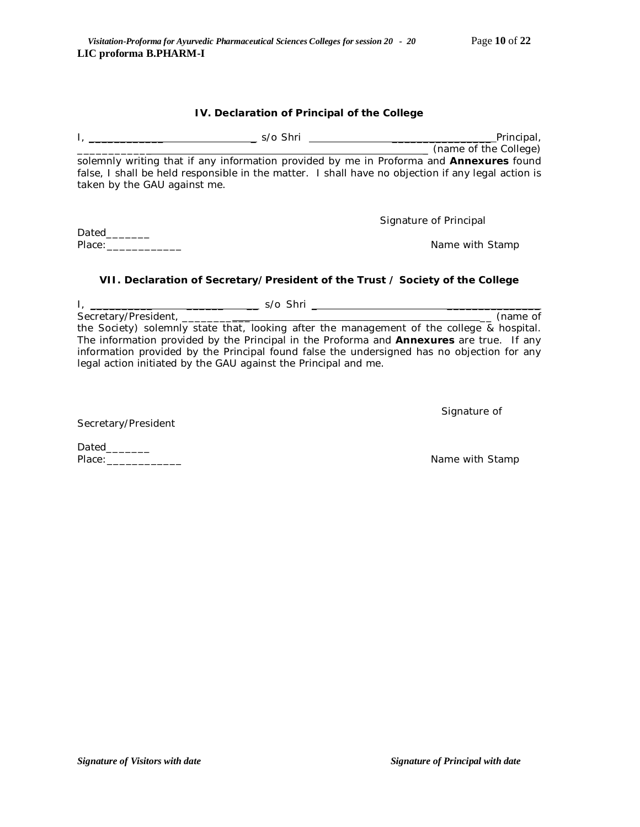#### **IV. Declaration of Principal of the College**

| s/o Shri                     | Principal,                                                                                         |
|------------------------------|----------------------------------------------------------------------------------------------------|
|                              | (name of the College)                                                                              |
|                              | solemnly writing that if any information provided by me in Proforma and <b>Annexures</b> found     |
| taken by the GAU against me. | false, I shall be held responsible in the matter. I shall have no objection if any legal action is |
|                              |                                                                                                    |

Dated\_\_\_\_\_\_\_\_ Place:\_\_\_\_\_\_\_\_\_\_\_\_ Name with Stamp

Signature of Principal

### **VII. Declaration of Secretary/President of the Trust / Society of the College**

I, \_\_\_\_\_\_\_\_\_\_ \_\_\_\_\_\_ \_\_ s/o Shri \_ \_\_\_\_\_\_\_\_\_\_\_\_\_\_\_ Secretary/President, \_\_\_\_\_\_\_\_\_\_\_ \_\_ (name of the Society) solemnly state that, looking after the management of the college & hospital. The information provided by the Principal in the Proforma and **Annexures** are true. If any information provided by the Principal found false the undersigned has no objection for any legal action initiated by the GAU against the Principal and me.

Signature of

Secretary/President

Dated\_\_\_\_\_\_\_\_\_ Place:\_\_\_\_\_\_\_\_\_\_\_\_ Name with Stamp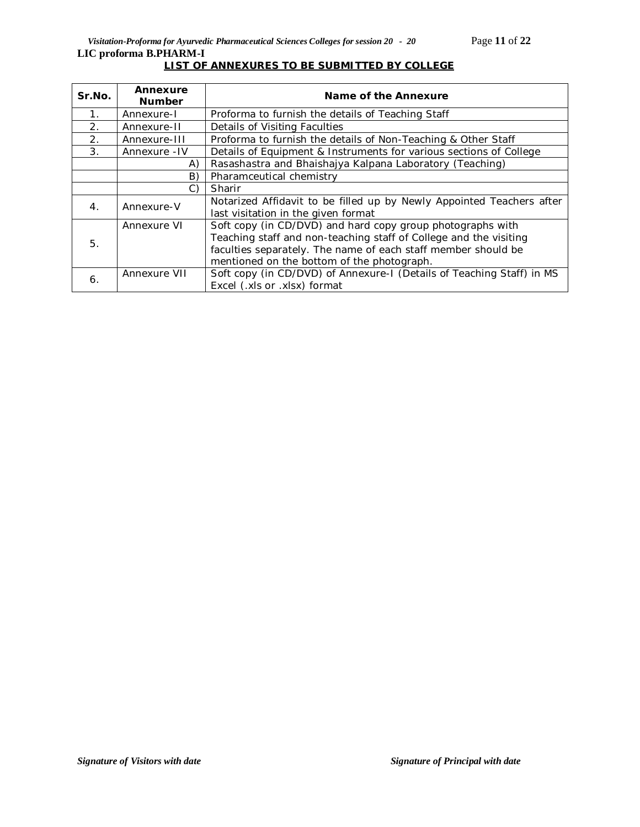| Sr.No.           | Annexure<br><b>Number</b> | Name of the Annexure                                                                                                                                                                                                                           |
|------------------|---------------------------|------------------------------------------------------------------------------------------------------------------------------------------------------------------------------------------------------------------------------------------------|
| $\mathbf 1$ .    | Annexure-I                | Proforma to furnish the details of Teaching Staff                                                                                                                                                                                              |
| 2.               | Annexure-II               | Details of Visiting Faculties                                                                                                                                                                                                                  |
| 2.               | Annexure-III              | Proforma to furnish the details of Non-Teaching & Other Staff                                                                                                                                                                                  |
| $\mathcal{B}$ .  | Annexure - IV             | Details of Equipment & Instruments for various sections of College                                                                                                                                                                             |
|                  | A)                        | Rasashastra and Bhaishajya Kalpana Laboratory (Teaching)                                                                                                                                                                                       |
|                  | B)                        | Pharamceutical chemistry                                                                                                                                                                                                                       |
|                  | C)                        | Sharir                                                                                                                                                                                                                                         |
| $\overline{4}$ . | Annexure-V                | Notarized Affidavit to be filled up by Newly Appointed Teachers after<br>last visitation in the given format                                                                                                                                   |
| 5.               | Annexure VI               | Soft copy (in CD/DVD) and hard copy group photographs with<br>Teaching staff and non-teaching staff of College and the visiting<br>faculties separately. The name of each staff member should be<br>mentioned on the bottom of the photograph. |
| 6.               | Annexure VII              | Soft copy (in CD/DVD) of Annexure-I (Details of Teaching Staff) in MS<br>Excel (.xls or .xlsx) format                                                                                                                                          |

# **LIST OF ANNEXURES TO BE SUBMITTED BY COLLEGE**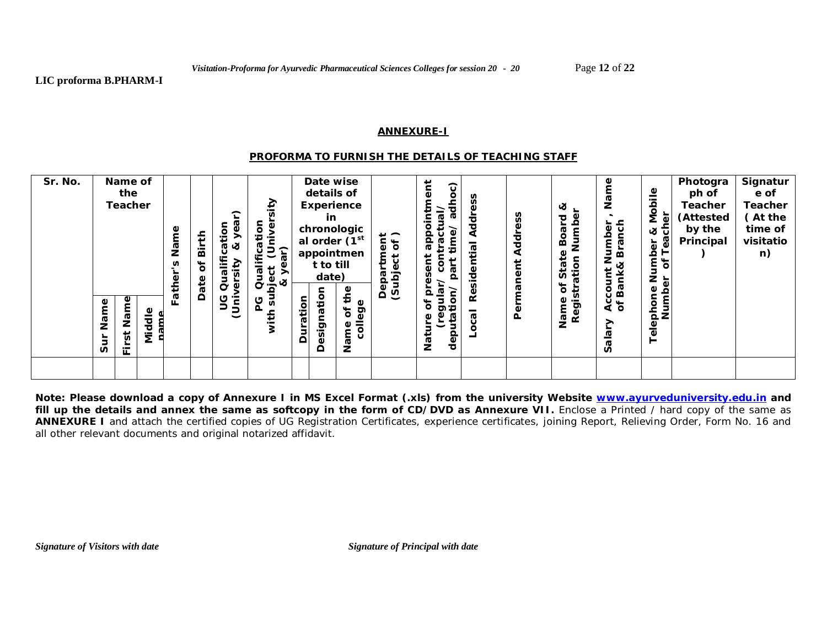#### **ANNEXURE-I**

#### *PROFORMA TO FURNISH THE DETAILS OF TEACHING STAFF*

| Sr. No. |                | Name of<br>the<br><b>Teacher</b> |              | Name<br>S<br>ather | Birth<br>Ⴆ<br>Date | ear)<br>જ<br>ᠭᢐ<br>lific<br>sity<br>ە<br>O | sity<br>tion<br>niver<br>ifica<br>5<br>ar)<br>$\overline{\mathsf{y}}$<br>Quali<br>ë<br>త<br>ā |          | Date wise<br>details of<br>in<br>t to till<br>date) | Experience<br>chronologic<br>al order (1 <sup>st</sup><br>appointmen<br>the | $\rightarrow$ $\sim$<br>tment<br>sct of<br>ect<br>Lans)<br>(Subj | Ĕ<br>adhoc)<br>$\bar{\mathbb{Q}}$<br>actu<br>time/<br>ൎ<br>Q<br>پ<br>້ອູ<br>nar<br>Q | ess<br>Addr<br>Residential | ddress<br>⋖<br>anent | ಜ<br>Numbe<br>짇<br>Boa<br>State<br>ation<br>৳<br>≑ | e<br>Σã<br>anch<br>umber<br>ក្ន<br>z<br>ళ<br>İ<br>Bank,<br>ē | Φ<br>obil<br>Ź<br>Ф<br>each<br>ళ<br>৳<br>duir<br>৳<br>Z<br>٥ | Photogra<br>ph of<br><b>Teacher</b><br>(Attested<br>by the<br>Principal | Signatur<br>e of<br>Teacher<br>(At the<br>time of<br>visitatio<br>n) |
|---------|----------------|----------------------------------|--------------|--------------------|--------------------|--------------------------------------------|-----------------------------------------------------------------------------------------------|----------|-----------------------------------------------------|-----------------------------------------------------------------------------|------------------------------------------------------------------|--------------------------------------------------------------------------------------|----------------------------|----------------------|----------------------------------------------------|--------------------------------------------------------------|--------------------------------------------------------------|-------------------------------------------------------------------------|----------------------------------------------------------------------|
|         | Name<br>Ĕ<br>Ū | ۹<br>$\mathsf{Nan}$<br>First     | Middle<br>me | ц.                 |                    | ပ<br>Ġ<br>Ū<br>⊃                           | ms<br>ပ<br>n.<br>오                                                                            | Duration | esignation<br>≏                                     | college<br>ðf<br>Φ<br>Nam                                                   |                                                                  | iejnɓ<br>tion/<br>deputat<br>Φ<br>Φ<br>ᢣ<br>Nati                                     | ocal                       | Perma                | 'n<br>Name<br>Regis                                | ٥<br>ই চ<br>><br>Salar                                       | Number<br>န<br>$\frac{1}{5}$<br>$\overline{\Phi}$<br>⊢       |                                                                         |                                                                      |
|         |                |                                  |              |                    |                    |                                            |                                                                                               |          |                                                     |                                                                             |                                                                  |                                                                                      |                            |                      |                                                    |                                                              |                                                              |                                                                         |                                                                      |

**Note: Please download a copy of Annexure I in MS Excel Format (.xls) from the university Website www.ayurveduniversity.edu.in and**  fill up the details and annex the same as softcopy in the form of CD/DVD as Annexure VII. Enclose a Printed / hard copy of the same as **ANNEXURE I** and attach the certified copies of UG Registration Certificates, experience certificates, joining Report, Relieving Order, Form No. 16 and all other relevant documents and original notarized affidavit.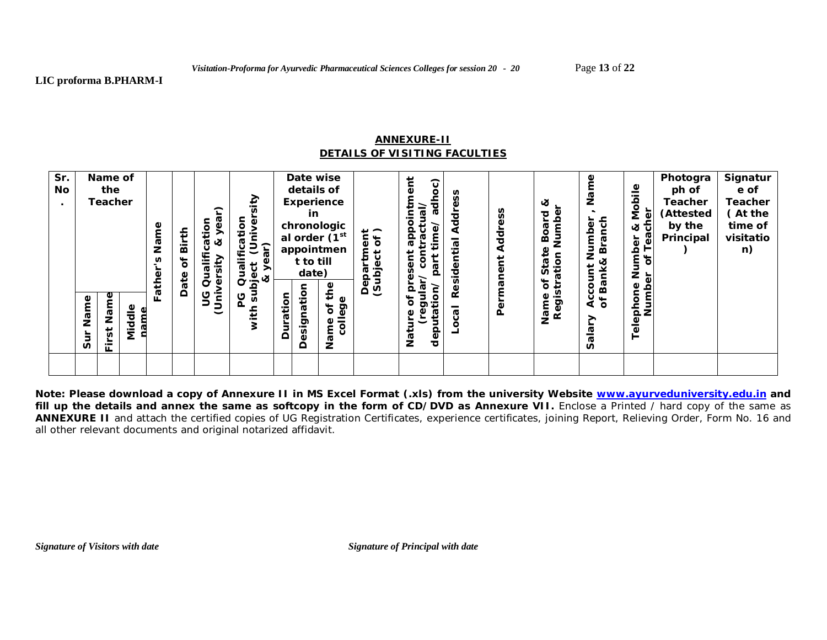#### **ANNEXURE-II** *DETAILS OF VISITING FACULTIES*

| Sr.<br>No | Name of<br>the<br><b>Teacher</b>                                              | Name<br>Ě<br>ø         | Birth<br>ð<br>Date | <u>ە.</u><br>$\vec{a}$<br>ಜ<br>Ē | ≥<br>tion<br>うき<br>Qualific<br>፟<br>$\frac{a}{2}$ & |          | Date wise<br>details of<br>Experience<br><u>in</u><br>chronologic<br>al order (1 <sup>st</sup><br>appointmen<br>t to till<br>date)<br>Φ | $\overline{a}$<br>۹<br>្ងៃ<br>$\ddot{\circ}$<br>Ф<br><b>G</b><br>Ф<br>ବୁ ଦ | $\widehat{\mathbf{c}}$<br>ω<br>۰<br>ಕ<br>Q<br>ᢐ<br>φ<br>ౚ<br>Φ<br>G | 공<br>ᢎ | SS<br>Addre<br>nent<br>mai | చ<br>Jumbe<br>짇<br>80<br>മ<br>₽<br>ation<br>ē.<br>n<br>ð<br>⊷<br>'n | Φ<br>م<br>2<br>anch<br>Number<br>ตั<br>ਕ<br>ount<br><b>Bank</b><br>ω | ≗<br>Mobil<br>ୂହ<br>ਕ ਹੈ<br>ී<br>৳<br>rn<br>of T<br>ិ៍<br>2<br>2<br>ិច<br>Φ | Photogra<br>ph of<br><b>Teacher</b><br>(Attested<br>by the<br>Principal | Signatur<br>e of<br><b>Teacher</b><br>(At the<br>time of<br>visitatio<br>n) |
|-----------|-------------------------------------------------------------------------------|------------------------|--------------------|----------------------------------|-----------------------------------------------------|----------|-----------------------------------------------------------------------------------------------------------------------------------------|----------------------------------------------------------------------------|---------------------------------------------------------------------|--------|----------------------------|---------------------------------------------------------------------|----------------------------------------------------------------------|-----------------------------------------------------------------------------|-------------------------------------------------------------------------|-----------------------------------------------------------------------------|
|           | Φ<br>Name<br>Nam<br>$\overline{5}$<br>È<br>Ō<br>$\overline{\phantom{0}}$<br>щ | ш.<br>Φ<br>ᢦ<br>ᅙ<br>έ |                    | و<br>5                           | ပ<br>$\overline{v}$                                 | Duration | esignation<br>Ě<br>Φ<br>ē9<br>Ⴆ<br>٥<br>$\overline{6}$<br>m<br>Z<br>≏                                                                   |                                                                            | $\circ$<br>∓<br>כס<br>Φ<br>ā<br>deb<br>Nat                          | ≃<br>Ф | Per                        | Name<br>Regis                                                       | ই চ<br>↗<br>n                                                        | Numb<br>pho<br>Tele                                                         |                                                                         |                                                                             |
|           |                                                                               |                        |                    |                                  |                                                     |          |                                                                                                                                         |                                                                            |                                                                     |        |                            |                                                                     |                                                                      |                                                                             |                                                                         |                                                                             |

**Note: Please download a copy of Annexure II in MS Excel Format (.xls) from the university Website www.ayurveduniversity.edu.in and**  fill up the details and annex the same as softcopy in the form of CD/DVD as Annexure VII. Enclose a Printed / hard copy of the same as **ANNEXURE II** and attach the certified copies of UG Registration Certificates, experience certificates, joining Report, Relieving Order, Form No. 16 and all other relevant documents and original notarized affidavit.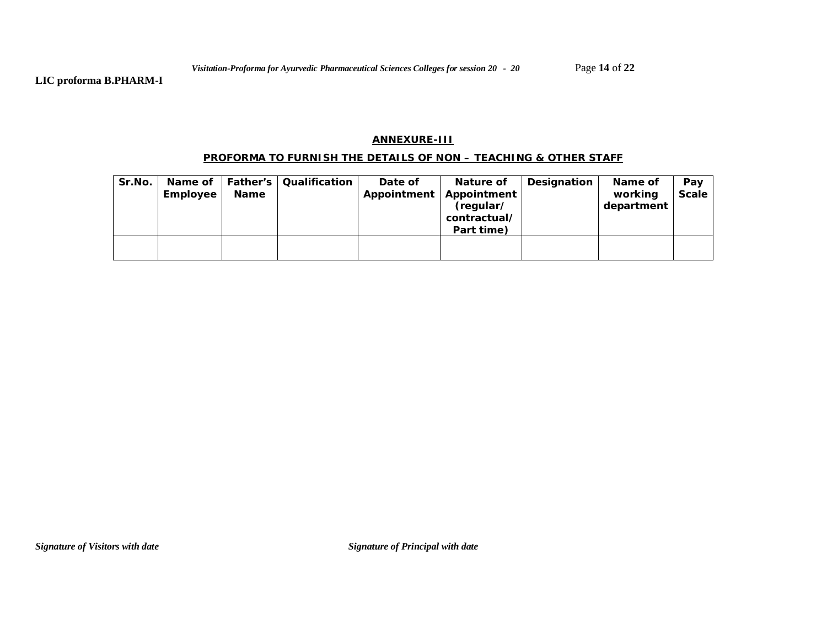**LIC proforma B.PHARM-I**

#### **ANNEXURE-III**

### **PROFORMA TO FURNISH THE DETAILS OF NON – TEACHING & OTHER STAFF**

| Sr.No. | Employee | <b>Name</b> | Name of   Father's   Qualification | Date of<br>Appointment | Nature of<br>Appointment<br>(regular/<br>contractual/<br>Part time) | Designation | Name of<br>working<br>department | Pay<br><b>Scale</b> |
|--------|----------|-------------|------------------------------------|------------------------|---------------------------------------------------------------------|-------------|----------------------------------|---------------------|
|        |          |             |                                    |                        |                                                                     |             |                                  |                     |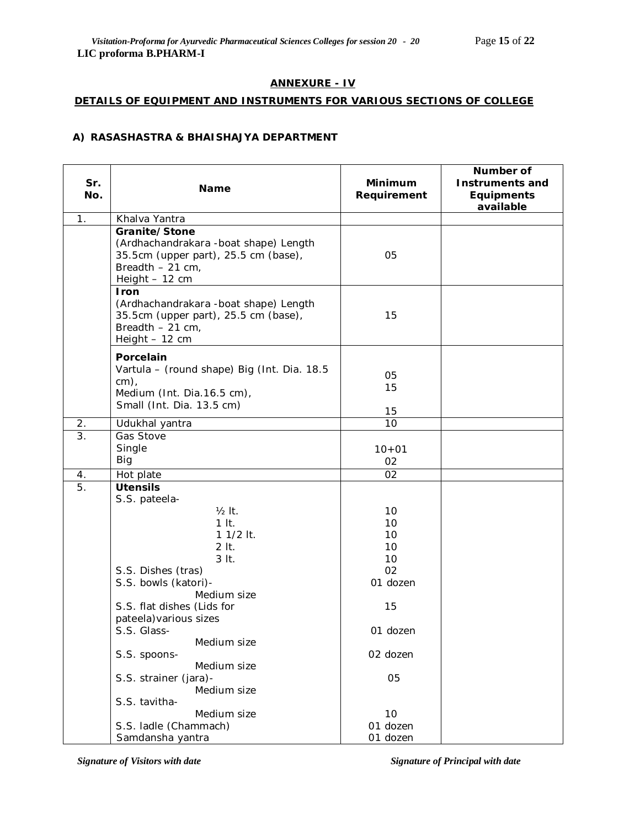# **ANNEXURE - IV**

### **DETAILS OF EQUIPMENT AND INSTRUMENTS FOR VARIOUS SECTIONS OF COLLEGE**

### **A) RASASHASTRA & BHAISHAJYA DEPARTMENT**

| Sr.<br>No.       | Name                                                                                                                                   | Minimum<br>Requirement            | Number of<br><b>Instruments and</b><br>Equipments<br>available |
|------------------|----------------------------------------------------------------------------------------------------------------------------------------|-----------------------------------|----------------------------------------------------------------|
| 1 <sub>1</sub>   | Khalva Yantra                                                                                                                          |                                   |                                                                |
|                  | Granite/Stone<br>(Ardhachandrakara -boat shape) Length<br>35.5cm (upper part), 25.5 cm (base),<br>Breadth $-21$ cm,<br>Height $-12$ cm | 05                                |                                                                |
|                  | Iron<br>(Ardhachandrakara -boat shape) Length<br>35.5cm (upper part), 25.5 cm (base),<br>Breadth $-21$ cm,<br>Height - 12 cm           | 15                                |                                                                |
|                  | Porcelain<br>Vartula - (round shape) Big (Int. Dia. 18.5<br>$cm)$ ,<br>Medium (Int. Dia.16.5 cm),<br>Small (Int. Dia. 13.5 cm)         | 05<br>15<br>15                    |                                                                |
| 2.               | Udukhal yantra                                                                                                                         | 10                                |                                                                |
| $\overline{3}$ . | Gas Stove<br>Single<br>Big                                                                                                             | $10 + 01$<br>02                   |                                                                |
| 4.               | Hot plate                                                                                                                              | 02                                |                                                                |
| 5.               | <b>Utensils</b><br>S.S. pateela-                                                                                                       |                                   |                                                                |
|                  | $1/2$ It.<br>$1$ It.<br>$11/2$ lt.<br>$2$ It.                                                                                          | 10<br>10<br>10<br>10 <sup>°</sup> |                                                                |
|                  | 3 It.                                                                                                                                  | 10                                |                                                                |
|                  | S.S. Dishes (tras)<br>S.S. bowls (katori)-<br>Medium size                                                                              | 02<br>01 dozen                    |                                                                |
|                  | S.S. flat dishes (Lids for<br>pateela) various sizes                                                                                   | 15                                |                                                                |
|                  | S.S. Glass-<br>Medium size                                                                                                             | 01 dozen                          |                                                                |
|                  | S.S. spoons-<br>Medium size                                                                                                            | 02 dozen                          |                                                                |
|                  | S.S. strainer (jara)-<br>Medium size<br>S.S. tavitha-                                                                                  | 05                                |                                                                |
|                  | Medium size                                                                                                                            | 10                                |                                                                |
|                  | S.S. ladle (Chammach)                                                                                                                  | 01 dozen                          |                                                                |
|                  | Samdansha yantra                                                                                                                       | 01 dozen                          |                                                                |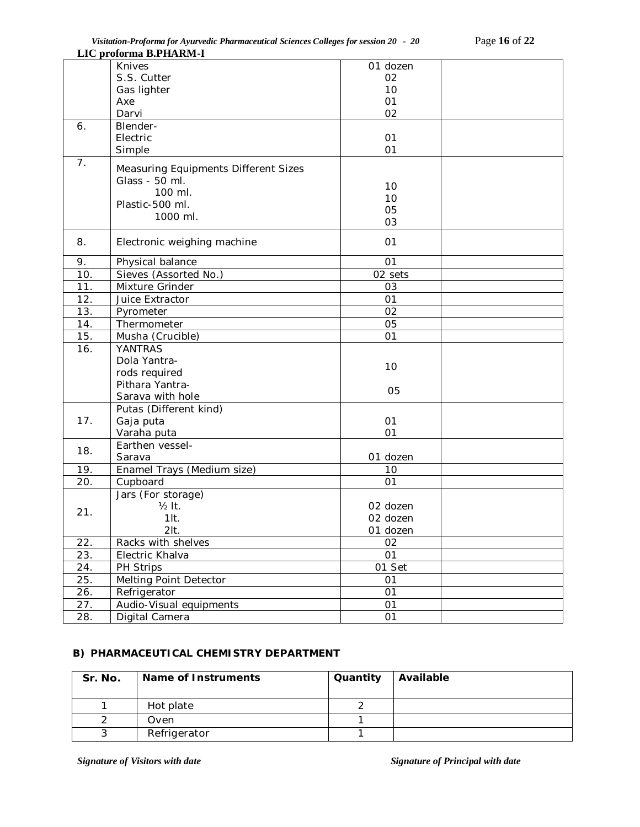|                  | LIC proforma B.PHARM-I               |                 |  |
|------------------|--------------------------------------|-----------------|--|
|                  | Knives                               | 01 dozen        |  |
|                  | S.S. Cutter                          | 02              |  |
|                  | Gas lighter                          | 10              |  |
|                  | Axe                                  | 01              |  |
|                  | Darvi                                | 02              |  |
| 6.               | Blender-                             |                 |  |
|                  | Electric                             | 01              |  |
|                  | Simple                               | 01              |  |
| 7.               |                                      |                 |  |
|                  | Measuring Equipments Different Sizes |                 |  |
|                  | Glass - 50 ml.                       | 10              |  |
|                  | 100 ml.                              | 10              |  |
|                  | Plastic-500 ml.                      | 05              |  |
|                  | 1000 ml.                             | 03              |  |
|                  |                                      |                 |  |
| 8.               | Electronic weighing machine          | 01              |  |
|                  |                                      |                 |  |
| 9.               | Physical balance                     | 01              |  |
| 10.              | Sieves (Assorted No.)                | 02 sets         |  |
| 11.              | Mixture Grinder                      | 03              |  |
| 12.              | Juice Extractor                      | 01              |  |
| 13.              | Pyrometer                            | 02              |  |
| 14.              | Thermometer                          | 05              |  |
| 15.              | Musha (Crucible)                     | 01              |  |
| 16.              | <b>YANTRAS</b>                       |                 |  |
|                  | Dola Yantra-                         | 10              |  |
|                  | rods required                        |                 |  |
|                  | Pithara Yantra-                      | 05              |  |
|                  | Sarava with hole                     |                 |  |
|                  | Putas (Different kind)               |                 |  |
| 17.              | Gaja puta                            | 01              |  |
|                  | Varaha puta                          | 01              |  |
| 18.              | Earthen vessel-                      |                 |  |
|                  | Sarava                               | 01 dozen        |  |
| 19.              | Enamel Trays (Medium size)           | 10              |  |
| $\overline{2}0.$ | Cupboard                             | 01              |  |
|                  | Jars (For storage)                   |                 |  |
|                  | $\frac{1}{2}$ It.                    | 02 dozen        |  |
| 21.              | $1$ lt.                              | 02 dozen        |  |
|                  | $2$ It.                              | 01 dozen        |  |
| 22.              | Racks with shelves                   | $\overline{02}$ |  |
| 23.              | Electric Khalva                      | 01              |  |
| 24.              | PH Strips                            | 01 Set          |  |
| 25.              | Melting Point Detector               | 01              |  |
| 26.              | Refrigerator                         | 01              |  |
| 27.              | Audio-Visual equipments              | 01              |  |
| 28.              | Digital Camera                       | 01              |  |
|                  |                                      |                 |  |

# **B) PHARMACEUTICAL CHEMISTRY DEPARTMENT**

| Sr. No. | Name of Instruments | Quantity | Available |
|---------|---------------------|----------|-----------|
|         | Hot plate           |          |           |
|         | Oven                |          |           |
|         | Refrigerator        |          |           |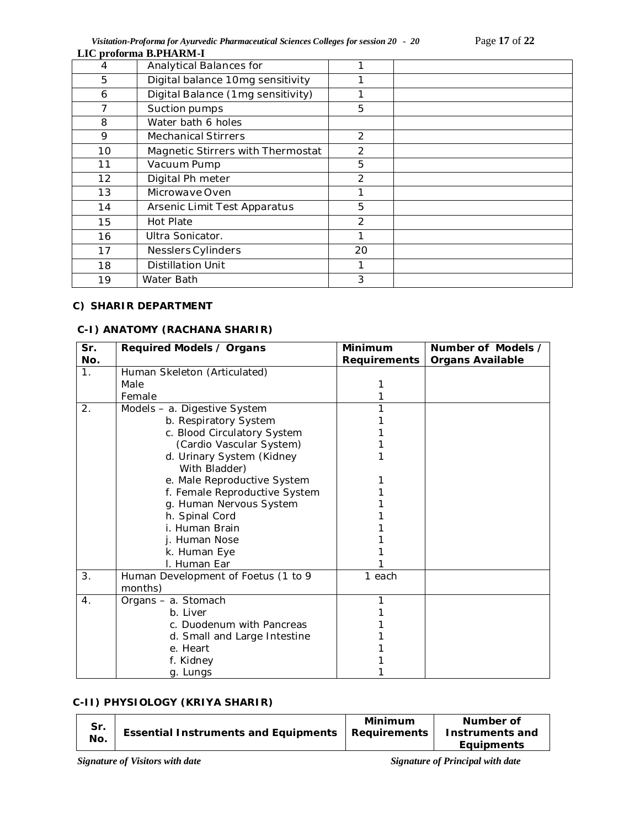*Visitation-Proforma for Ayurvedic Pharmaceutical Sciences Colleges for session 20 - 20* Page **17** of **22**

|    | LIC proforma B.PHARM-I            |    |  |
|----|-----------------------------------|----|--|
| 4  | Analytical Balances for           |    |  |
| 5  | Digital balance 10mg sensitivity  |    |  |
| 6  | Digital Balance (1mg sensitivity) |    |  |
| 7  | Suction pumps                     | 5  |  |
| 8  | Water bath 6 holes                |    |  |
| 9  | <b>Mechanical Stirrers</b>        | 2  |  |
| 10 | Magnetic Stirrers with Thermostat | 2  |  |
| 11 | Vacuum Pump                       | 5  |  |
| 12 | Digital Ph meter                  | 2  |  |
| 13 | Microwaye Oven                    | 1  |  |
| 14 | Arsenic Limit Test Apparatus      | 5  |  |
| 15 | Hot Plate                         | 2  |  |
| 16 | Ultra Sonicator.                  |    |  |
| 17 | Nesslers Cylinders                | 20 |  |
| 18 | <b>Distillation Unit</b>          |    |  |
| 19 | Water Bath                        | 3  |  |

### **C) SHARIR DEPARTMENT**

## **C-I) ANATOMY (RACHANA SHARIR)**

| Sr.              | Required Models / Organs            | Minimum      | Number of Models /      |
|------------------|-------------------------------------|--------------|-------------------------|
| No.              |                                     | Requirements | <b>Organs Available</b> |
| 1.               | Human Skeleton (Articulated)        |              |                         |
|                  | Male                                |              |                         |
|                  | Female                              | 1            |                         |
| 2.               | Models - a. Digestive System        | 1            |                         |
|                  | b. Respiratory System               |              |                         |
|                  | c. Blood Circulatory System         |              |                         |
|                  | (Cardio Vascular System)            |              |                         |
|                  | d. Urinary System (Kidney           |              |                         |
|                  | With Bladder)                       |              |                         |
|                  | e. Male Reproductive System         |              |                         |
|                  | f. Female Reproductive System       |              |                         |
|                  | g. Human Nervous System             |              |                         |
|                  | h. Spinal Cord                      |              |                         |
|                  | i. Human Brain                      |              |                         |
|                  | j. Human Nose                       |              |                         |
|                  | k. Human Eye                        |              |                         |
|                  | I. Human Ear                        |              |                         |
| 3.               | Human Development of Foetus (1 to 9 | 1 each       |                         |
|                  | months)                             |              |                         |
| $\overline{4}$ . | Organs - a. Stomach                 |              |                         |
|                  | b. Liver                            |              |                         |
|                  | c. Duodenum with Pancreas           |              |                         |
|                  | d. Small and Large Intestine        |              |                         |
|                  | e. Heart                            |              |                         |
|                  | f. Kidney                           |              |                         |
|                  | g. Lungs                            |              |                         |

# **C-II) PHYSIOLOGY (KRIYA SHARIR)**

| Minimum<br>Number of<br>Sr.<br>Essential Instruments and Equipments   Requirements | <b>Equipments</b> | No. |  |  | Instruments and |
|------------------------------------------------------------------------------------|-------------------|-----|--|--|-----------------|
|------------------------------------------------------------------------------------|-------------------|-----|--|--|-----------------|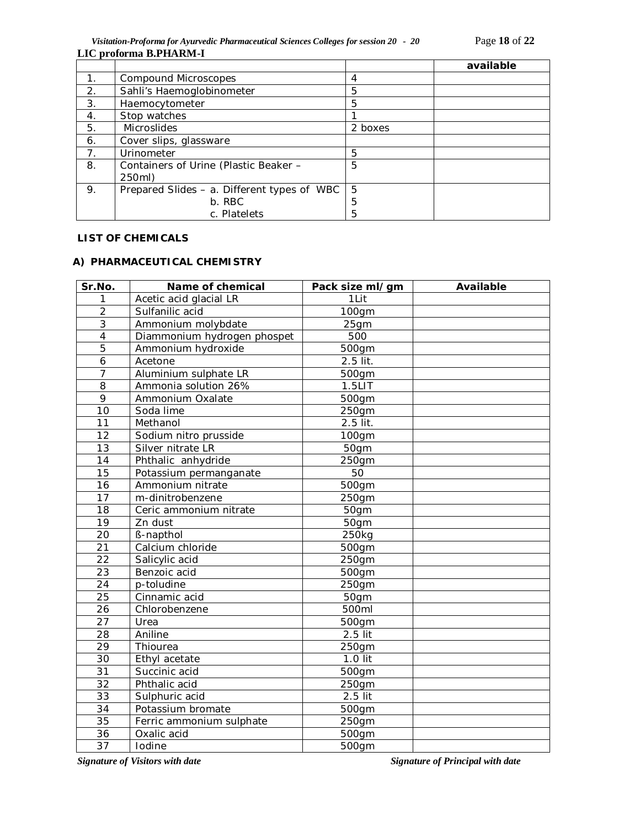*Visitation-Proforma for Ayurvedic Pharmaceutical Sciences Colleges for session 20 - 20* Page **18** of **22 LIC proforma B.PHARM-I**

|                |                                             |         | available |
|----------------|---------------------------------------------|---------|-----------|
| 1.             | Compound Microscopes                        | 4       |           |
| 2.             | Sahli's Haemoglobinometer                   | 5       |           |
| 3.             | Haemocytometer                              | 5       |           |
| 4.             | Stop watches                                |         |           |
| 5.             | Microslides                                 | 2 boxes |           |
| 6.             | Cover slips, glassware                      |         |           |
| 7 <sub>1</sub> | Urinometer                                  | 5       |           |
| 8.             | Containers of Urine (Plastic Beaker -       | 5       |           |
|                | 250ml)                                      |         |           |
| 9.             | Prepared Slides - a. Different types of WBC | 5       |           |
|                | b. RBC                                      | 5       |           |
|                | c. Platelets                                | 5       |           |

# **LIST OF CHEMICALS**

### **A) PHARMACEUTICAL CHEMISTRY**

| Sr.No.          | Name of chemical            | Pack size ml/gm     | <b>Available</b> |
|-----------------|-----------------------------|---------------------|------------------|
| 1               | Acetic acid glacial LR      | 1Lit                |                  |
| $\overline{2}$  | Sulfanilic acid             | 100gm               |                  |
| $\overline{3}$  | Ammonium molybdate          | 25gm                |                  |
| $\overline{4}$  | Diammonium hydrogen phospet | 500                 |                  |
| $\overline{5}$  | Ammonium hydroxide          | 500gm               |                  |
| 6               | Acetone                     | $2.5$ lit.          |                  |
| $\overline{7}$  | Aluminium sulphate LR       | 500gm               |                  |
| 8               | Ammonia solution 26%        | $1.5$ LIT           |                  |
| 9               | Ammonium Oxalate            | 500gm               |                  |
| 10              | Soda lime                   | 250gm               |                  |
| 11              | Methanol                    | $2.5$ lit.          |                  |
| 12              | Sodium nitro prusside       | 100gm               |                  |
| 13              | Silver nitrate LR           | 50gm                |                  |
| 14              | Phthalic anhydride          | 250gm               |                  |
| 15              | Potassium permanganate      | 50                  |                  |
| 16              | Ammonium nitrate            | 500gm               |                  |
| 17              | m-dinitrobenzene            | 250gm               |                  |
| 18              | Ceric ammonium nitrate      | 50gm                |                  |
| 19              | Zn dust                     | 50gm                |                  |
| $\overline{20}$ | ß-napthol                   | 250kg               |                  |
| $\overline{21}$ | Calcium chloride            | 500gm               |                  |
| 22              | Salicylic acid              | 250gm               |                  |
| 23              | Benzoic acid                | 500gm               |                  |
| 24              | p-toludine                  | 250gm               |                  |
| 25              | Cinnamic acid               | 50gm                |                  |
| 26              | Chlorobenzene               | 500ml               |                  |
| 27              | Urea                        | 500gm               |                  |
| 28              | Aniline                     | 2.5 lit             |                  |
| 29              | Thiourea                    | 250gm               |                  |
| 30              | Ethyl acetate               | 1.0 lit             |                  |
| 31              | Succinic acid               | 500gm               |                  |
| 32              | Phthalic acid               | 250gm               |                  |
| 33              | Sulphuric acid              | 2.5 lit             |                  |
| 34              | Potassium bromate           | 500gm               |                  |
| 35              | Ferric ammonium sulphate    | 250gm               |                  |
| 36              | Oxalic acid                 | 500gm               |                  |
| $\overline{37}$ | Iodine                      | $\overline{500}$ gm |                  |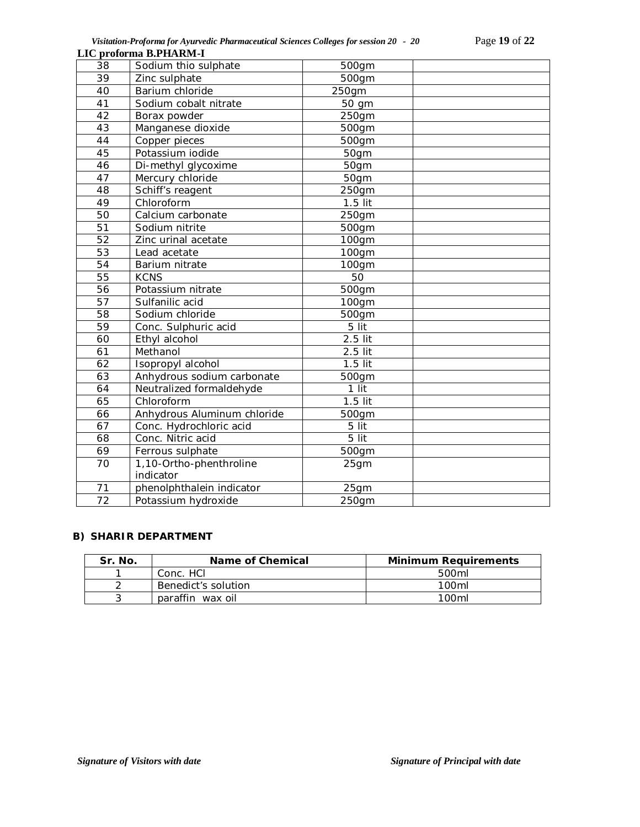*Visitation-Proforma for Ayurvedic Pharmaceutical Sciences Colleges for session 20 - 20* Page **19** of **22 LIC proforma B.PHARM-I**

| Sodium thio sulphate                 | 500gm     |      |
|--------------------------------------|-----------|------|
| Zinc sulphate                        | 500gm     |      |
| Barium chloride                      | 250gm     |      |
| Sodium cobalt nitrate                | 50 gm     |      |
| Borax powder                         | 250gm     |      |
| Manganese dioxide                    | 500gm     |      |
| Copper pieces                        | 500gm     |      |
| Potassium iodide                     | 50gm      |      |
| Di-methyl glycoxime                  | 50gm      |      |
| Mercury chloride                     | 50gm      |      |
| Schiff's reagent                     | 250gm     |      |
| Chloroform                           | $1.5$ lit |      |
| Calcium carbonate                    | 250gm     |      |
| Sodium nitrite                       | 500gm     |      |
| Zinc urinal acetate                  | 100gm     |      |
| Lead acetate                         | 100gm     |      |
| Barium nitrate                       | 100gm     |      |
| <b>KCNS</b>                          | 50        |      |
| Potassium nitrate                    | 500gm     |      |
| Sulfanilic acid                      | 100gm     |      |
| Sodium chloride                      | 500gm     |      |
| Conc. Sulphuric acid                 | 5 lit     |      |
| Ethyl alcohol                        | 2.5 lit   |      |
| Methanol                             | 2.5 lit   |      |
| Isopropyl alcohol                    | $1.5$ lit |      |
| Anhydrous sodium carbonate           | 500gm     |      |
| Neutralized formaldehyde             | 1 lit     |      |
| Chloroform                           | $1.5$ lit |      |
| Anhydrous Aluminum chloride          | 500gm     |      |
| Conc. Hydrochloric acid              | 5 lit     |      |
| Conc. Nitric acid                    | 5 lit     |      |
| Ferrous sulphate                     | 500gm     |      |
| 1,10-Ortho-phenthroline<br>indicator | 25gm      |      |
| phenolphthalein indicator            |           |      |
| Potassium hydroxide                  | 250gm     |      |
|                                      |           | 25gm |

### **B) SHARIR DEPARTMENT**

| Sr. No. | Name of Chemical    | <b>Minimum Requirements</b> |
|---------|---------------------|-----------------------------|
|         | Conc. HCI           | 500ml                       |
|         | Benedict's solution | 100 <sub>m</sub>            |
|         | paraffin wax oil    | 100 <sub>ml</sub>           |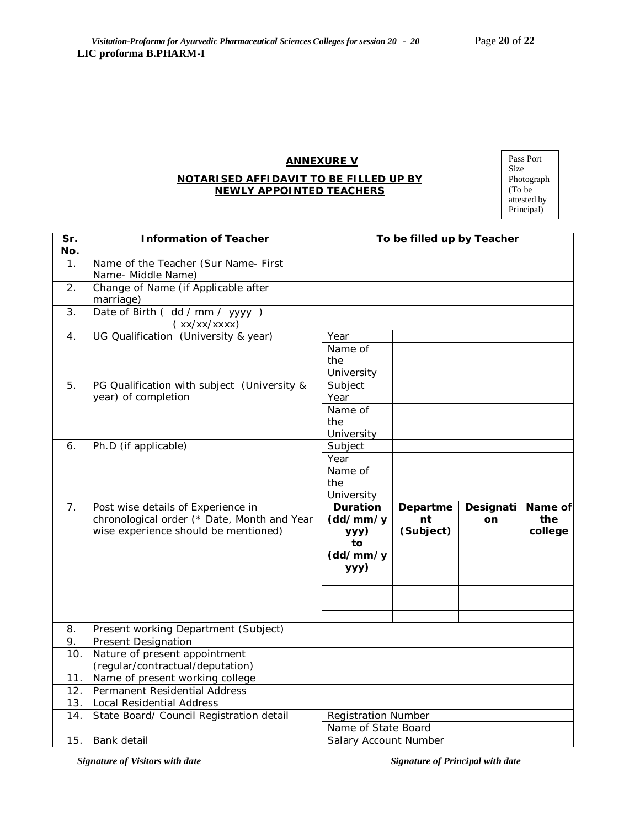# **ANNEXURE V**

#### **NOTARISED AFFIDAVIT TO BE FILLED UP BY NEWLY APPOINTED TEACHERS**

| Pass Port   |
|-------------|
| Size        |
| Photograph  |
| (To be      |
| attested by |
| Principal)  |

| Sr.<br>No.    | <b>Information of Teacher</b>                                                                                             | To be filled up by Teacher                                           |                             |                 |                           |
|---------------|---------------------------------------------------------------------------------------------------------------------------|----------------------------------------------------------------------|-----------------------------|-----------------|---------------------------|
| $\mathbf 1$ . | Name of the Teacher (Sur Name- First<br>Name- Middle Name)                                                                |                                                                      |                             |                 |                           |
| 2.            | Change of Name (if Applicable after<br>marriage)                                                                          |                                                                      |                             |                 |                           |
| 3.            | Date of Birth (dd / mm / yyyy)<br>(xx/xx/xxxx)                                                                            |                                                                      |                             |                 |                           |
| 4.            | UG Qualification (University & year)                                                                                      | Year<br>Name of<br>the<br>University                                 |                             |                 |                           |
| 5.            | PG Qualification with subject (University &<br>year) of completion                                                        | Subject<br>Year<br>Name of<br>the<br>University                      |                             |                 |                           |
| 6.            | Ph.D (if applicable)                                                                                                      | Subject<br>Year<br>Name of<br>the<br>University                      |                             |                 |                           |
| 7.            | Post wise details of Experience in<br>chronological order (* Date, Month and Year<br>wise experience should be mentioned) | <b>Duration</b><br>(dd/mm/y<br>yyy)<br>to<br>(dd/mm/y<br><u>yyy)</u> | Departme<br>nt<br>(Subject) | Designati<br>on | Name of<br>the<br>college |
| 8.            | Present working Department (Subject)                                                                                      |                                                                      |                             |                 |                           |
| 9.            | <b>Present Designation</b>                                                                                                |                                                                      |                             |                 |                           |
| 10.           | Nature of present appointment<br>(regular/contractual/deputation)                                                         |                                                                      |                             |                 |                           |
| 11.           | Name of present working college                                                                                           |                                                                      |                             |                 |                           |
| 12.           | Permanent Residential Address                                                                                             |                                                                      |                             |                 |                           |
| 13.           | Local Residential Address                                                                                                 |                                                                      |                             |                 |                           |
| 14.           | State Board/ Council Registration detail                                                                                  | <b>Registration Number</b><br>Name of State Board                    |                             |                 |                           |
| 15.           | Bank detail                                                                                                               | Salary Account Number                                                |                             |                 |                           |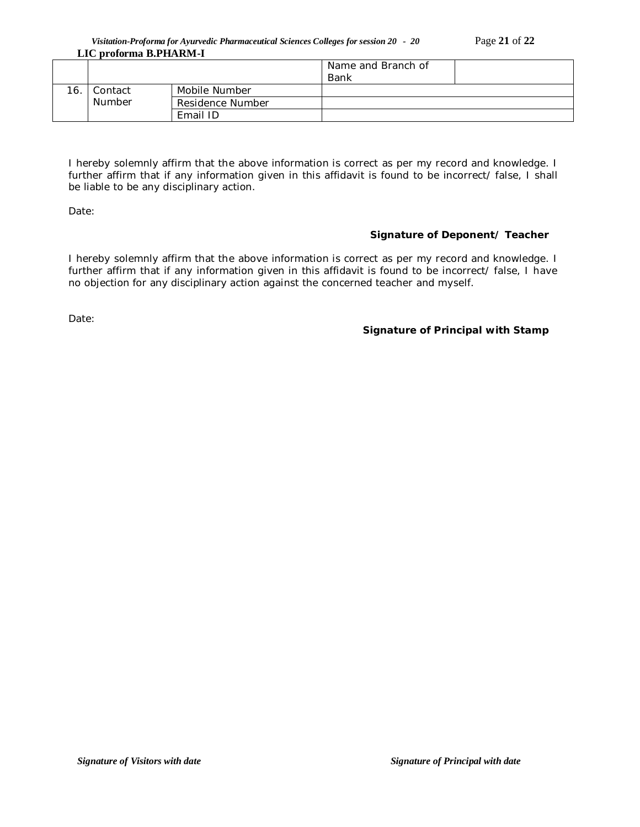*Visitation-Proforma for Ayurvedic Pharmaceutical Sciences Colleges for session 20 - 20* Page **21** of **22 LIC proforma B.PHARM-I**

|     |                          |                  | Name and Branch of |  |
|-----|--------------------------|------------------|--------------------|--|
|     |                          |                  | Bank               |  |
| 16. | Contact<br><b>Number</b> | Mobile Number    |                    |  |
|     |                          | Residence Number |                    |  |
|     |                          | Email ID         |                    |  |

I hereby solemnly affirm that the above information is correct as per my record and knowledge. I further affirm that if any information given in this affidavit is found to be incorrect/ false, I shall be liable to be any disciplinary action.

Date:

# **Signature of Deponent/ Teacher**

I hereby solemnly affirm that the above information is correct as per my record and knowledge. I further affirm that if any information given in this affidavit is found to be incorrect/ false, I have no objection for any disciplinary action against the concerned teacher and myself.

Date:

## **Signature of Principal with Stamp**